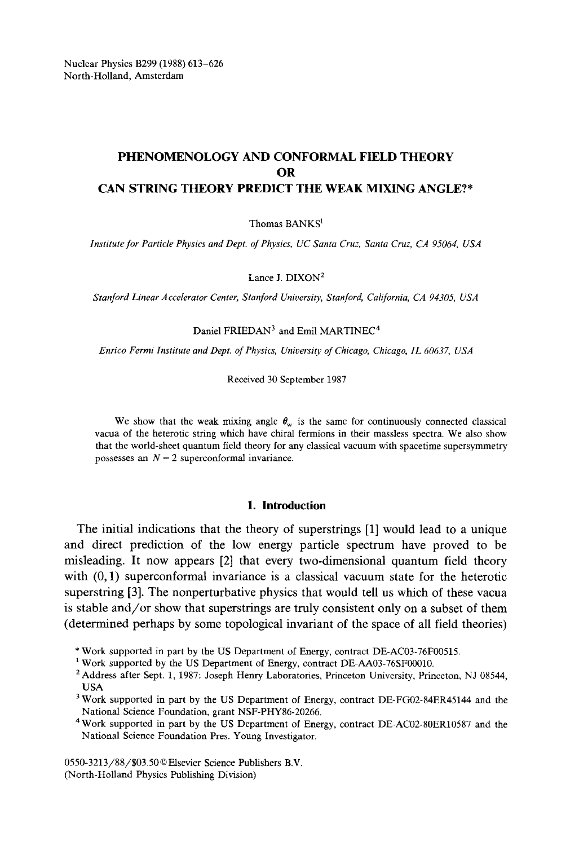# PHENOMENOLOGY AND CONFORMAL FIELD THEORY OR CAN STRING THEORY PREDICT THE WEAK MIXING ANGLE?\*

Thomas BANKS<sup>1</sup>

*Institute for Particle Physics and Dept. of Physics, UC Santa Cruz, Santa Cruz, CA 95064, USA* 

Lance **J. DIXON<sup>2</sup>** 

*Stanford Linear Accelerator Center, Stanford University, Stanford, California, CA 94305, USA* 

Daniel FRIEDAN<sup>3</sup> and Emil MARTINEC<sup>4</sup>

*Enrico Fermi Institute and Dept. of Physics, University of Chicago, Chicago, IL 60637, USA* 

Received 30 September 1987

We show that the weak mixing angle  $\theta_{\rm w}$  is the same for continuously connected classical vacua of the heterotic string which have chiral fermions in their massless spectra. We also show that the world-sheet quantum field theory for any classical vacuum with spacetime supersymmetry possesses an  $N = 2$  superconformal invariance.

## **1. Introduction**

The initial indications that the theory of superstrings [1] would lead to a unique and direct prediction of the low energy particle spectrum have proved to be misleading. It now appears [2] that every two-dimensional quantum field theory with  $(0,1)$  superconformal invariance is a classical vacuum state for the heterotic superstring [3]. The nonperturbative physics that would tell us which of these vacua is stable and/or show that superstrings are truly consistent only on a subset of them (determined perhaps by some topological invariant of the space of all field theories)

\* Work supported in part by the US Department of Energy, contract DE-AC03-76F00515.

<sup>1</sup> Work supported by the US Department of Energy, contract DE-AA03-76SF00010.

4 Work supported in part by the US Department of Energy, contract DE-AC02-80ER10587 and the National Science Foundation Pres. Young Investigator.

0550-3213/88/\$03.50©Elsevier Science Publishers B.V. (North-Holland Physics Publishing Division)

<sup>&</sup>lt;sup>2</sup> Address after Sept. 1, 1987: Joseph Henry Laboratories, Princeton University, Princeton, NJ 08544, USA

<sup>&</sup>lt;sup>3</sup> Work supported in part by the US Department of Energy, contract DE-FG02-84ER45144 and the National Science Foundation, grant NSF-PHY86-20266.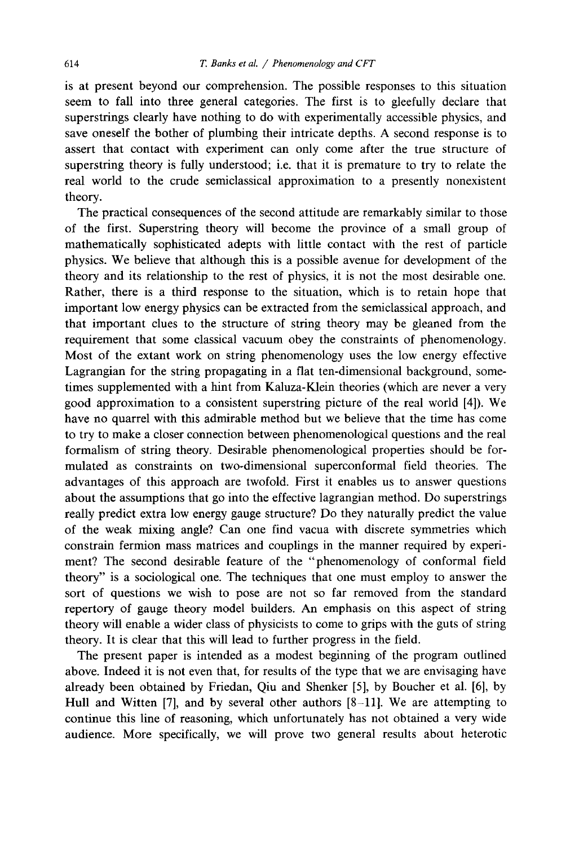is at present beyond our comprehension. The possible responses to this situation seem to fall into three general categories. The first is to gleefully declare that superstrings clearly have nothing to do with experimentally accessible physics, and save oneself the bother of plumbing their intricate depths. A second response is to assert that contact with experiment can only come after the true structure of superstring theory is fully understood; i.e. that it is premature to try to relate the real world to the crude semiclassical approximation to a presently nonexistent theory.

The practical consequences of the second attitude are remarkably similar to those of the first. Superstring theory will become the province of a small group of mathematically sophisticated adepts with little contact with the rest of particle physics. We believe that although this is a possible avenue for development of the theory and its relationship to the rest of physics, it is not the most desirable one. Rather, there is a third response to the situation, which is to retain hope that important low energy physics can be extracted from the semiclassical approach, and that important clues to the structure of string theory may be gleaned from the requirement that some classical vacuum obey the constraints of phenomenology. Most of the extant work on string phenomenology uses the low energy effective Lagrangian for the string propagating in a flat ten-dimensional background, sometimes supplemented with a hint from Kaluza-Klein theories (which are never a very good approximation to a consistent superstring picture of the real world [4]). We have no quarrel with this admirable method but we believe that the time has come to try to make a closer connection between phenomenological questions and the real formalism of string theory. Desirable phenomenological properties should be formulated as constraints on two-dimensional superconformal field theories. The advantages of this approach are twofold. First it enables us to answer questions about the assumptions that go into the effective lagrangian method. Do superstrings really predict extra low energy gauge structure? Do they naturally predict the value of the weak mixing angle? Can one find vacua with discrete symmetries which constrain fermion mass matrices and couplings in the manner required by experiment? The second desirable feature of the "phenomenology of conformal field theory" is a sociological one. The techniques that one must employ to answer the sort of questions we wish to pose are not so far removed from the standard repertory of gauge theory model builders. An emphasis on this aspect of string theory will enable a wider class of physicists to come to grips with the guts of string theory. It is clear that this will lead to further progress in the field.

The present paper is intended as a modest beginning of the program outlined above. Indeed it is not even that, for results of the type that we are envisaging have already been obtained by Friedan, Qiu and Shenker [5], by Boucher et al. [6], by Hull and Witten [7], and by several other authors [8-11]. We are attempting to continue this line of reasoning, which unfortunately has not obtained a very wide audience. More specifically, we will prove two general results about heterotic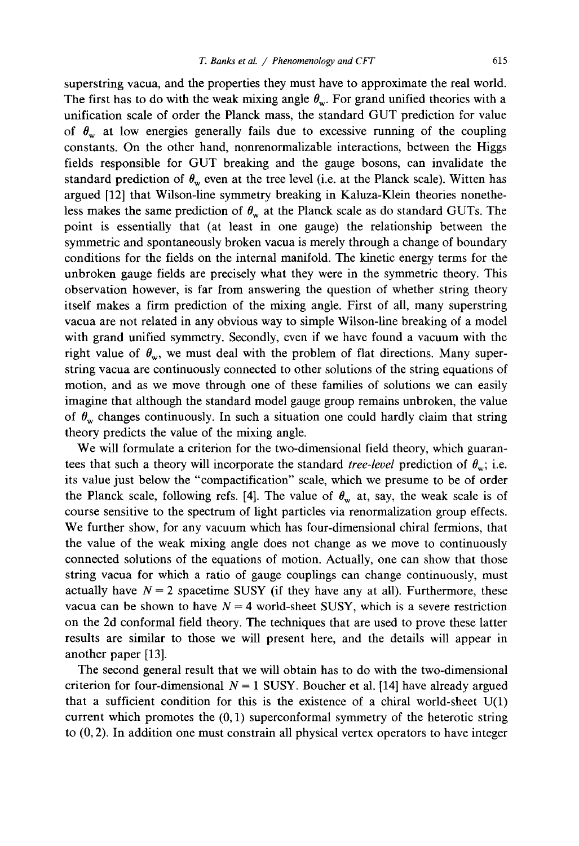superstring vacua, and the properties they must have to approximate the real world. The first has to do with the weak mixing angle  $\theta_{w}$ . For grand unified theories with a unification scale of order the Planck mass, the standard GUT prediction for value of  $\theta_{\rm w}$  at low energies generally fails due to excessive running of the coupling constants. On the other hand, nonrenormalizable interactions, between the Higgs fields responsible for GUT breaking and the gauge bosons, can invalidate the standard prediction of  $\theta_w$  even at the tree level (i.e. at the Planck scale). Witten has argued [12] that Wilson-line symmetry breaking in Kaluza-Klein theories nonetheless makes the same prediction of  $\theta_w$  at the Planck scale as do standard GUTs. The point is essentially that (at least in one gauge) the relationship between the symmetric and spontaneously broken vacua is merely through a change of boundary conditions for the fields on the internal manifold. The kinetic energy terms for the unbroken gauge fields are precisely what they were in the symmetric theory. This observation however, is far from answering the question of whether string theory itself makes a firm prediction of the mixing angle. First of all, many superstring vacua are not related in any obvious way to simple Wilson-line breaking of a model with grand unified symmetry. Secondly, even if we have found a vacuum with the right value of  $\theta_{\rm w}$ , we must deal with the problem of flat directions. Many superstring vacua are continuously connected to other solutions of the string equations of motion, and as we move through one of these families of solutions we can easily imagine that although the standard model gauge group remains unbroken, the value of  $\theta_{\rm w}$  changes continuously. In such a situation one could hardly claim that string theory predicts the value of the mixing angle.

We will formulate a criterion for the two-dimensional field theory, which guarantees that such a theory will incorporate the standard *tree-level* prediction of  $\theta_w$ ; i.e. its value just below the "compactification" scale, which we presume to be of order the Planck scale, following refs. [4]. The value of  $\theta_{\rm w}$  at, say, the weak scale is of course sensitive to the spectrum of light particles via renormalization group effects. We further show, for any vacuum which has four-dimensional chiral fermions, that the value of the weak mixing angle does not change as we move to continuously connected solutions of the equations of motion. Actually, one can show that those string vacua for which a ratio of gauge couplings can change continuously, must actually have  $N = 2$  spacetime SUSY (if they have any at all). Furthermore, these vacua can be shown to have  $N = 4$  world-sheet SUSY, which is a severe restriction on the 2d conformal field theory. The techniques that are used to prove these latter results are similar to those we will present here, and the details will appear in another paper [13].

The second general result that we will obtain has to do with the two-dimensional criterion for four-dimensional  $N = 1$  SUSY. Boucher et al. [14] have already argued that a sufficient condition for this is the existence of a chiral world-sheet  $U(1)$ current which promotes the  $(0,1)$  superconformal symmetry of the heterotic string to (0, 2). In addition one must constrain all physical vertex operators to have integer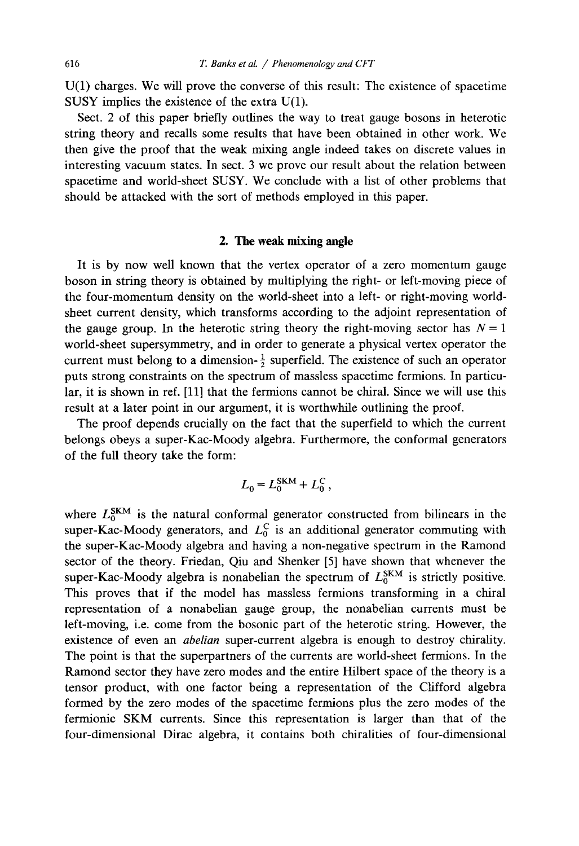$U(1)$  charges. We will prove the converse of this result: The existence of spacetime SUSY implies the existence of the extra U(1).

Sect. 2 of this paper briefly outlines the way to treat gauge bosons in heterotic string theory and recalls some results that have been obtained in other work. We then give the proof that the weak mixing angle indeed takes on discrete values in interesting vacuum states. In sect. 3 we prove our result about the relation between spacetime and world-sheet SUSY. We conclude with a list of other problems that should be attacked with the sort of methods employed in this paper.

## **2. The weak mixing angle**

It is by now well known that the vertex operator of a zero momentum gauge boson in string theory is obtained by multiplying the right- or left-moving piece of the four-momentum density on the world-sheet into a left- or right-moving worldsheet current density, which transforms according to the adjoint representation of the gauge group. In the heterotic string theory the right-moving sector has  $N = 1$ world-sheet supersymmetry, and in order to generate a physical vertex operator the current must belong to a dimension- $\frac{1}{2}$  superfield. The existence of such an operator puts strong constraints on the spectrum of massless spacetime fermions. In particular, it is shown in ref. [11] that the fermions cannot be chiral. Since we will use this result at a later point in our argument, it is worthwhile outlining the proof.

The proof depends crucially on the fact that the superfield to which the current belongs obeys a super-Kac-Moody algebra. Furthermore, the conformal generators of the full theory take the form:

$$
L_0 = L_0^{\text{SKM}} + L_0^{\text{C}},
$$

where  $L_0^{\text{SKM}}$  is the natural conformal generator constructed from bilinears in the super-Kac-Moody generators, and  $L_0^C$  is an additional generator commuting with the super-Kac-Moody algebra and having a non-negative spectrum in the Ramond sector of the theory. Friedan, Qiu and Shenker [5] have shown that whenever the super-Kac-Moody algebra is nonabelian the spectrum of  $L_0^{\text{SKM}}$  is strictly positive. This proves that if the model has massless fermions transforming in a chiral representation of a nonabelian gauge group, the nonabelian currents must be left-moving, i.e. come from the bosonic part of the heterotic string. However, the existence of even an *abelian* super-current algebra is enough to destroy chirality. The point is that the superpartners of the currents are world-sheet fermions. In the Ramond sector they have zero modes and the entire Hilbert space of the theory is a tensor product, with one factor being a representation of the Clifford algebra formed by the zero modes of the spacetime fermions plus the zero modes of the fermionic SKM currents. Since this representation is larger than that of the four-dimensional Dirac algebra, it contains both chiralities of four-dimensional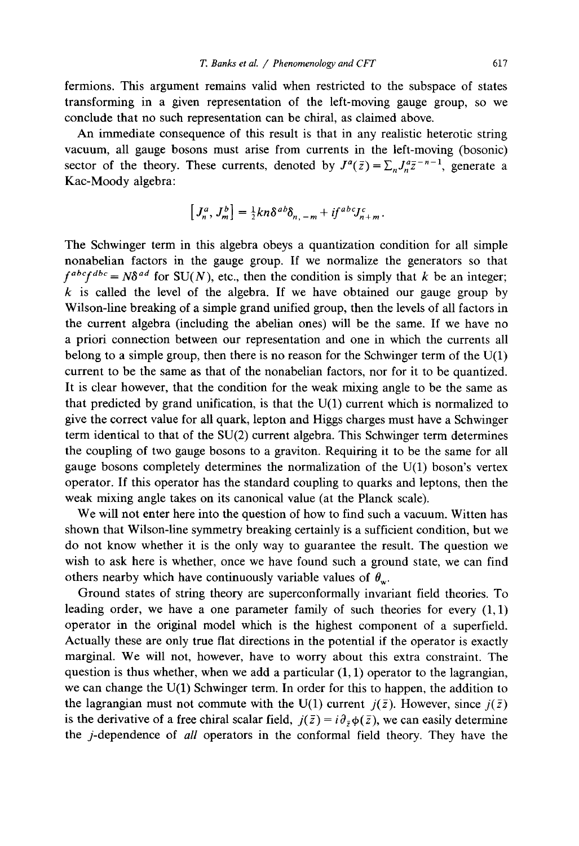fermions. This argument remains valid when restricted to the subspace of states transforming in a given representation of the left-moving gauge group, so we conclude that no such representation can be chiral, as claimed above.

An immediate consequence of this result is that in any realistic heterotic string vacuum, all gauge bosons must arise from currents in the left-moving (bosonic) sector of the theory. These currents, denoted by  $J^a(\bar{z}) = \sum_{n} J_n^a \bar{z}^{-n-1}$ , generate a Kac-Moody algebra:

$$
\left[J_n^a, J_m^b\right] = \frac{1}{2}kn\delta^{ab}\delta_{n,-m} + if^{abc}J_{n+m}^c.
$$

The Schwinger term in this algebra obeys a quantization condition for all simple nonabelian factors in the gauge group. If we normalize the generators so that  $f^{abcf}$ <sup>dbc</sup> =  $N\delta^{ad}$  for SU(N), etc., then the condition is simply that k be an integer;  $k$  is called the level of the algebra. If we have obtained our gauge group by Wilson-line breaking of a simple grand unified group, then the levels of all factors in the current algebra (including the abelian ones) will be the same. If we have no a priori connection between our representation and one in which the currents all belong to a simple group, then there is no reason for the Schwinger term of the  $U(1)$ current to be the same as that of the nonabelian factors, nor for it to be quantized. It is clear however, that the condition for the weak mixing angle to be the same as that predicted by grand unification, is that the  $U(1)$  current which is normalized to give the correct value for all quark, lepton and Higgs charges must have a Schwinger term identical to that of the SU(2) current algebra. This Schwinger term determines the coupling of two gauge bosons to a graviton. Requiring it to be the same for all gauge bosons completely determines the normalization of the U(1) boson's vertex operator. If this operator has the standard coupling to quarks and leptons, then the weak mixing angle takes on its canonical value (at the Planck scale).

We will not enter here into the question of how to find such a vacuum. Witten has shown that Wilson-line symmetry breaking certainly is a sufficient condition, but we do not know whether it is the only way to guarantee the result. The question we wish to ask here is whether, once we have found such a ground state, we can find others nearby which have continuously variable values of  $\theta_{\rm w}$ .

Ground states of string theory are superconformally invariant field theories. To leading order, we have a one parameter family of such theories for every  $(1,1)$ operator in the original model which is the highest component of a superfield. Actually these are only true flat directions in the potential if the operator is exactly marginal. We will not, however, have to worry about this extra constraint. The question is thus whether, when we add a particular  $(1,1)$  operator to the lagrangian, we can change the U(1) Schwinger term. In order for this to happen, the addition to the lagrangian must not commute with the U(1) current  $j(\bar{z})$ . However, since  $j(\bar{z})$ is the derivative of a free chiral scalar field,  $j(\bar{z}) = i\partial_{\bar{z}}\phi(\bar{z})$ , we can easily determine the j-dependence of *all* operators in the conformal field theory. They have the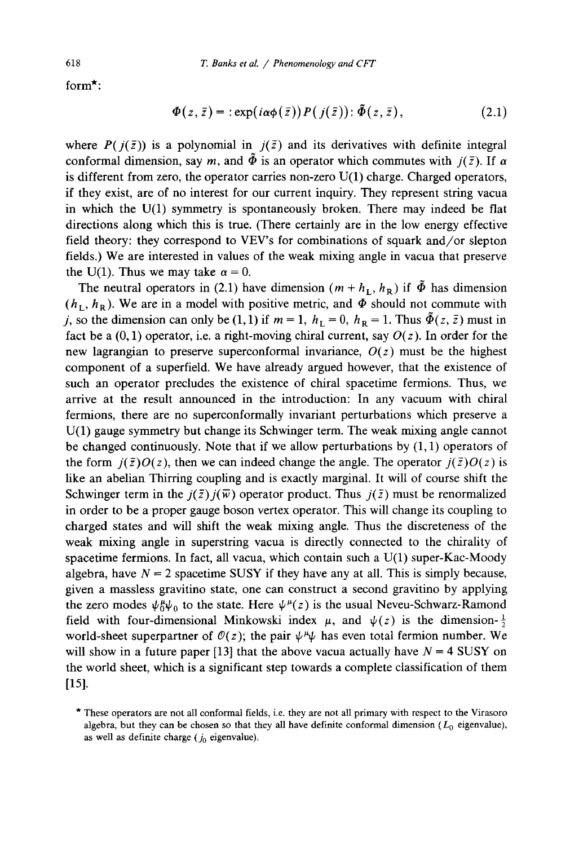form\*:

$$
\Phi(z,\bar{z}) = \text{exp}(i\alpha\phi(\bar{z}))P(j(\bar{z}))\colon\tilde{\Phi}(z,\bar{z}),\tag{2.1}
$$

where  $P(j(\bar{z}))$  is a polynomial in  $j(\bar{z})$  and its derivatives with definite integral conformal dimension, say m, and  $\tilde{\Phi}$  is an operator which commutes with  $j(\bar{z})$ . If  $\alpha$ is different from zero, the operator carries non-zero  $U(1)$  charge. Charged operators, if they exist, are of no interest for our current inquiry. They represent string vacua in which the U(1) symmetry is spontaneously broken. There may indeed be flat directions along which this is true. (There certainly are in the low energy effective field theory: they correspond to VEV's for combinations of squark and/or slepton fields.) We are interested in values of the weak mixing angle in vacua that preserve the U(1). Thus we may take  $\alpha = 0$ .

The neutral operators in (2.1) have dimension  $(m + h_L, h_R)$  if  $\tilde{\Phi}$  has dimension  $(h_L, h_R)$ . We are in a model with positive metric, and  $\Phi$  should not commute with j, so the dimension can only be (1, 1) if  $m = 1$ ,  $h<sub>L</sub> = 0$ ,  $h<sub>R</sub> = 1$ . Thus  $\tilde{\Phi}(z, \bar{z})$  must in fact be a  $(0,1)$  operator, i.e. a right-moving chiral current, say  $O(z)$ . In order for the new lagrangian to preserve superconformal invariance,  $O(z)$  must be the highest component of a superfield. We have already argued however, that the existence of such an operator precludes the existence of chiral spacetime fermions. Thus, we arrive at the result announced in the introduction: In any vacuum with chiral fermions, there are no superconformally invariant perturbations which preserve a U(1) gauge symmetry but change its Schwinger term. The weak mixing angle cannot be changed continuously. Note that if we allow perturbations by (1,1) operators of the form  $j(\bar{z})O(z)$ , then we can indeed change the angle. The operator  $j(\bar{z})O(z)$  is like an abelian Thirring coupling and is exactly marginal. It will of course shift the Schwinger term in the  $j(\bar{z})j(\bar{w})$  operator product. Thus  $j(\bar{z})$  must be renormalized in order to be a proper gauge boson vertex operator. This will change its coupling to charged states and will shift the weak mixing angle. Thus the discreteness of the weak mixing angle in superstring vacua is directly connected to the chirality of spacetime fermions. In fact, all vacua, which contain such a U(1) super-Kac-Moody algebra, have  $N = 2$  spacetime SUSY if they have any at all. This is simply because, given a massless gravitino state, one can construct a second gravitino by applying the zero modes  $\psi_0^{\mu} \psi_0$  to the state. Here  $\psi^{\mu}(z)$  is the usual Neveu-Schwarz-Ramond field with four-dimensional Minkowski index  $\mu$ , and  $\psi(z)$  is the dimension- $\frac{1}{2}$ world-sheet superpartner of  $\mathcal{O}(z)$ ; the pair  $\psi^{\mu}\psi$  has even total fermion number. We will show in a future paper [13] that the above vacua actually have  $N = 4$  SUSY on the world sheet, which is a significant step towards a complete classification of them [15].

618

<sup>\*</sup> These operators are not all conformal fields, i.e. they are not all primary with respect to the Virasoro algebra, but they can be chosen so that they all have definite conformal dimension ( $L_0$  eigenvalue), as well as definite charge ( $j_0$  eigenvalue).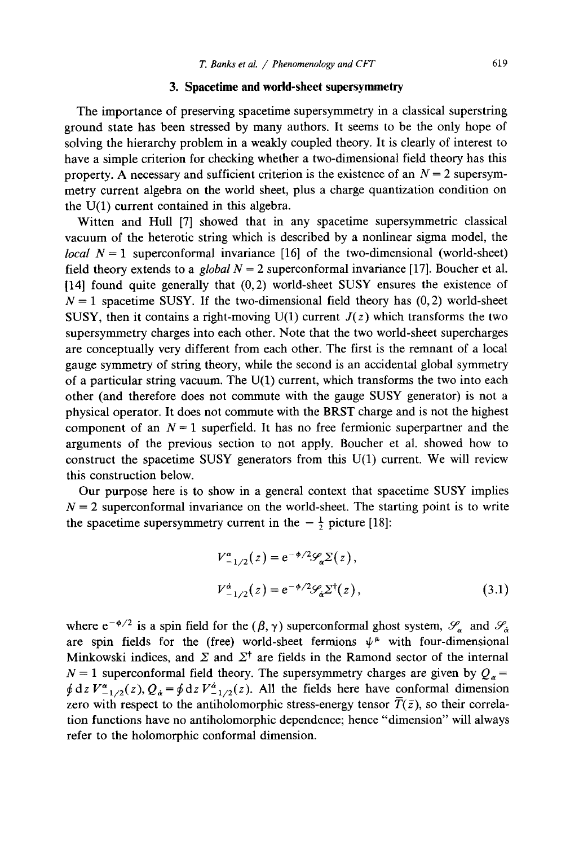## **3. Spaeetime and world-sheet supersymmetry**

The importance of preserving spacetime supersymmetry in a classical superstring ground state has been stressed by many authors. It seems to be the only hope of solving the hierarchy problem in a weakly coupled theory. It is clearly of interest to have a simple criterion for checking whether a two-dimensional field theory has this property. A necessary and sufficient criterion is the existence of an  $N = 2$  supersymmetry current algebra on the world sheet, plus a charge quantization condition on the U(1) current contained in this algebra.

Witten and Hull [7] showed that in any spacetime supersymmetric classical vacuum of the heterotic string which is described by a nonlinear sigma model, the *local*  $N = 1$  superconformal invariance [16] of the two-dimensional (world-sheet) field theory extends to a *global*  $N = 2$  superconformal invariance [17]. Boucher et al. [14] found quite generally that  $(0, 2)$  world-sheet SUSY ensures the existence of  $N = 1$  spacetime SUSY. If the two-dimensional field theory has (0,2) world-sheet SUSY, then it contains a right-moving  $U(1)$  current  $J(z)$  which transforms the two supersymmetry charges into each other. Note that the two world-sheet supercharges are conceptually very different from each other. The first is the remnant of a local gauge symmetry of string theory, while the second is an accidental global symmetry of a particular string vacuum. The  $U(1)$  current, which transforms the two into each other (and therefore does not commute with the gauge SUSY generator) is not a physical operator. It does not commute with the BRST charge and is not the highest component of an  $N = 1$  superfield. It has no free fermionic superpartner and the arguments of the previous section to not apply. Boucher et al. showed how to construct the spacetime SUSY generators from this  $U(1)$  current. We will review this construction below.

Our purpose here is to show in a general context that spacetime SUSY implies  $N = 2$  superconformal invariance on the world-sheet. The starting point is to write the spacetime supersymmetry current in the  $-\frac{1}{2}$  picture [18]:

$$
V_{-1/2}^{\alpha}(z) = e^{-\phi/2} \mathcal{S}_{\alpha} \Sigma(z),
$$
  
\n
$$
V_{-1/2}^{\dot{\alpha}}(z) = e^{-\phi/2} \mathcal{S}_{\dot{\alpha}} \Sigma^{\dagger}(z),
$$
\n(3.1)

where  $e^{-\phi/2}$  is a spin field for the  $(\beta, \gamma)$  superconformal ghost system,  $\mathscr{S}_{\alpha}$  and  $\mathscr{S}_{\dot{\alpha}}$ are spin fields for the (free) world-sheet fermions  $\psi^{\mu}$  with four-dimensional Minkowski indices, and  $\Sigma$  and  $\Sigma^{\dagger}$  are fields in the Ramond sector of the internal  $N = 1$  superconformal field theory. The supersymmetry charges are given by  $Q_a =$  $\oint dz V^{\alpha}_{-1/2}(z), Q_{\dot{\alpha}} = \oint dz V^{\dot{\alpha}}_{-1/2}(z)$ . All the fields here have conformal dimension zero with respect to the antiholomorphic stress-energy tensor  $\overline{T}(\overline{z})$ , so their correlation functions have no antiholomorphic dependence; hence "dimension" will always refer to the holomorphic conformal dimension.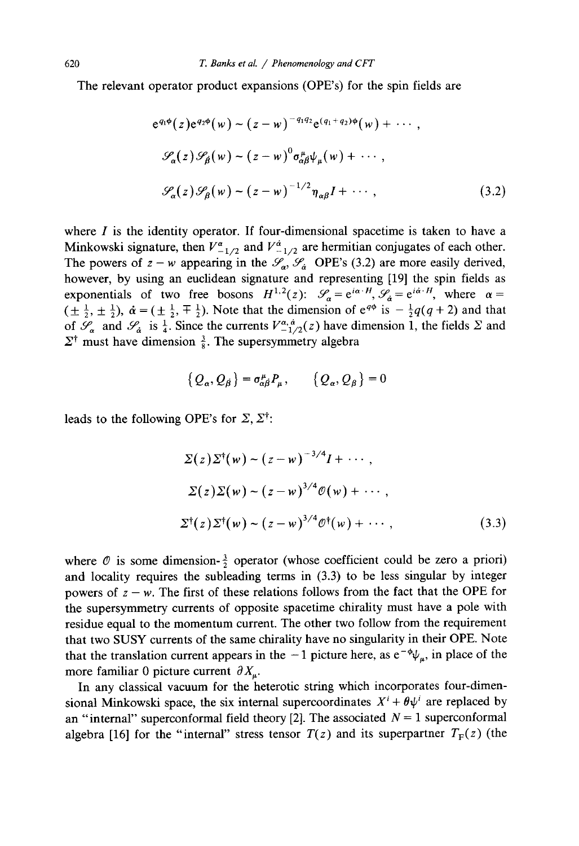The relevant operator product expansions (OPE's) for the spin fields are

$$
e^{q_1\phi}(z)e^{q_2\phi}(w) \sim (z-w)^{-q_1q_2}e^{(q_1+q_2)\phi}(w) + \cdots ,
$$
  

$$
\mathcal{S}_{\alpha}(z)\mathcal{S}_{\beta}(w) \sim (z-w)^0\sigma_{\alpha\beta}^{\mu}\psi_{\mu}(w) + \cdots ,
$$
  

$$
\mathcal{S}_{\alpha}(z)\mathcal{S}_{\beta}(w) \sim (z-w)^{-1/2}\eta_{\alpha\beta}I + \cdots , \qquad (3.2)
$$

where  $I$  is the identity operator. If four-dimensional spacetime is taken to have a Minkowski signature, then  $V_{-1/2}^{\alpha}$  and  $V_{-1/2}^{\dot{\alpha}}$  are hermitian conjugates of each other. The powers of  $z - w$  appearing in the  $\mathscr{S}_{\alpha}$ ,  $\mathscr{S}_{\dot{\alpha}}$  OPE's (3.2) are more easily derived, however, by using an euclidean signature and representing [19] the spin fields as exponentials of two free bosons  $H^{1,2}(z)$ :  $\mathscr{S}_{\alpha} = e^{i\alpha \cdot H}$ ,  $\mathscr{S}_{\alpha} = e^{i\alpha \cdot H}$ , where  $\alpha =$  $(\pm \frac{1}{2}, \pm \frac{1}{2})$ ,  $\dot{\alpha} = (\pm \frac{1}{2}, \pm \frac{1}{2})$ . Note that the dimension of  $e^{q\phi}$  is  $-\frac{1}{2}q(q+2)$  and that of  $\mathscr{S}_{\alpha}$  and  $\mathscr{S}_{\dot{\alpha}}$  is  $\frac{1}{4}$ . Since the currents  $V^{\alpha, \dot{\alpha}}_{-1/2}(z)$  have dimension 1, the fields  $\Sigma$  and  $\Sigma^{\dagger}$  must have dimension  $\frac{3}{8}$ . The supersymmetry algebra

$$
\{Q_{\alpha}, Q_{\beta}\} = \sigma^{\mu}_{\alpha\beta} P_{\mu}, \qquad \{Q_{\alpha}, Q_{\beta}\} = 0
$$

leads to the following OPE's for  $\Sigma$ ,  $\Sigma^{\dagger}$ :

$$
\Sigma(z)\Sigma^{\dagger}(w) \sim (z-w)^{-3/4}I + \cdots,
$$
  
\n
$$
\Sigma(z)\Sigma(w) \sim (z-w)^{3/4}\mathcal{O}(w) + \cdots,
$$
  
\n
$$
\Sigma^{\dagger}(z)\Sigma^{\dagger}(w) \sim (z-w)^{3/4}\mathcal{O}^{\dagger}(w) + \cdots,
$$
\n(3.3)

where  $\mathcal O$  is some dimension- $\frac{3}{2}$  operator (whose coefficient could be zero a priori) and locality requires the subleading terms in (3.3) to be less singular by integer powers of  $z - w$ . The first of these relations follows from the fact that the OPE for the supersymmetry currents of opposite spacetime chirality must have a pole with residue equal to the momentum current. The other two follow from the requirement that two SUSY currents of the same chirality have no singularity in their OPE. Note that the translation current appears in the -1 picture here, as  $e^{-\phi}\psi_{\mu}$ , in place of the more familiar 0 picture current  $\partial X_a$ .

In any classical vacuum for the heterotic string which incorporates four-dimensional Minkowski space, the six internal supercoordinates  $X^{i} + \theta \psi^{i}$  are replaced by an "internal" superconformal field theory [2]. The associated  $N = 1$  superconformal algebra [16] for the "internal" stress tensor  $T(z)$  and its superpartner  $T_F(z)$  (the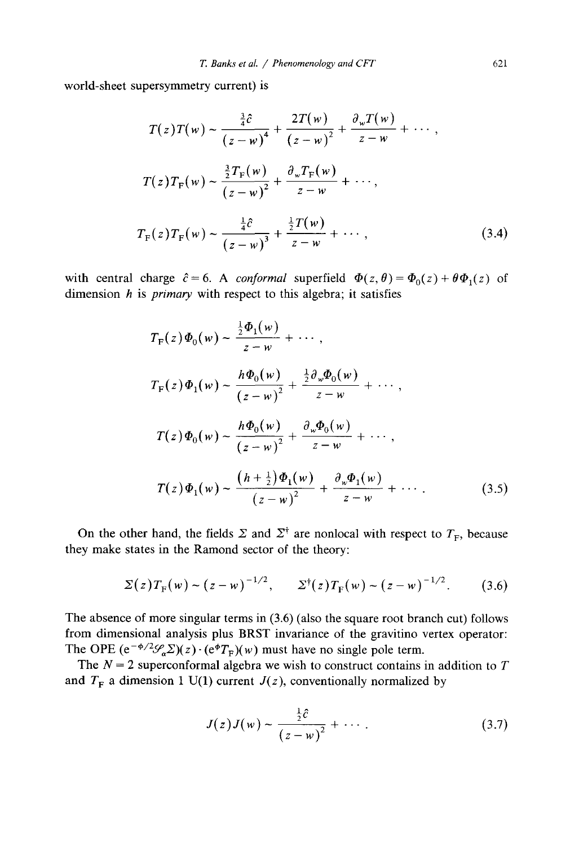world-sheet supersymmetry current) is

$$
T(z)T(w) \sim \frac{\frac{3}{4}\hat{c}}{(z-w)^4} + \frac{2T(w)}{(z-w)^2} + \frac{\partial_w T(w)}{z-w} + \cdots,
$$
  

$$
T(z)T_F(w) \sim \frac{\frac{3}{2}T_F(w)}{(z-w)^2} + \frac{\partial_w T_F(w)}{z-w} + \cdots,
$$
  

$$
T_F(z)T_F(w) \sim \frac{\frac{1}{4}\hat{c}}{(z-w)^3} + \frac{\frac{1}{2}T(w)}{z-w} + \cdots,
$$
 (3.4)

with central charge  $\hat{c}=6$ . A *conformal* superfield  $\Phi(z, \theta) = \Phi_0(z) + \theta \Phi_1(z)$  of dimension h is *primary* with respect to this algebra; it satisfies

$$
T_{\rm F}(z)\Phi_{0}(w) \sim \frac{\frac{1}{2}\Phi_{1}(w)}{z-w} + \cdots ,
$$
  
\n
$$
T_{\rm F}(z)\Phi_{1}(w) \sim \frac{h\Phi_{0}(w)}{(z-w)^{2}} + \frac{\frac{1}{2}\partial_{w}\Phi_{0}(w)}{z-w} + \cdots ,
$$
  
\n
$$
T(z)\Phi_{0}(w) \sim \frac{h\Phi_{0}(w)}{(z-w)^{2}} + \frac{\partial_{w}\Phi_{0}(w)}{z-w} + \cdots ,
$$
  
\n
$$
T(z)\Phi_{1}(w) \sim \frac{(h+\frac{1}{2})\Phi_{1}(w)}{(z-w)^{2}} + \frac{\partial_{w}\Phi_{1}(w)}{z-w} + \cdots .
$$
\n(3.5)

On the other hand, the fields  $\Sigma$  and  $\Sigma^{\dagger}$  are nonlocal with respect to  $T_F$ , because they make states in the Ramond sector of the theory:

$$
\Sigma(z)T_{\rm F}(w) \sim (z-w)^{-1/2}
$$
,  $\Sigma^{\dagger}(z)T_{\rm F}(w) \sim (z-w)^{-1/2}$ . (3.6)

The absence of more singular terms in (3.6) (also the square root branch cut) follows from dimensional analysis plus BRST invariance of the gravitino vertex operator: The OPE  $(e^{-\phi/2} \mathcal{S}_{\alpha} \Sigma)(z) \cdot (e^{\phi} T_{F})(w)$  must have no single pole term.

The  $N = 2$  superconformal algebra we wish to construct contains in addition to T and  $T_F$  a dimension 1 U(1) current  $J(z)$ , conventionally normalized by

$$
J(z)J(w) \sim \frac{\frac{1}{2}\hat{c}}{\left(z-w\right)^2} + \cdots \qquad (3.7)
$$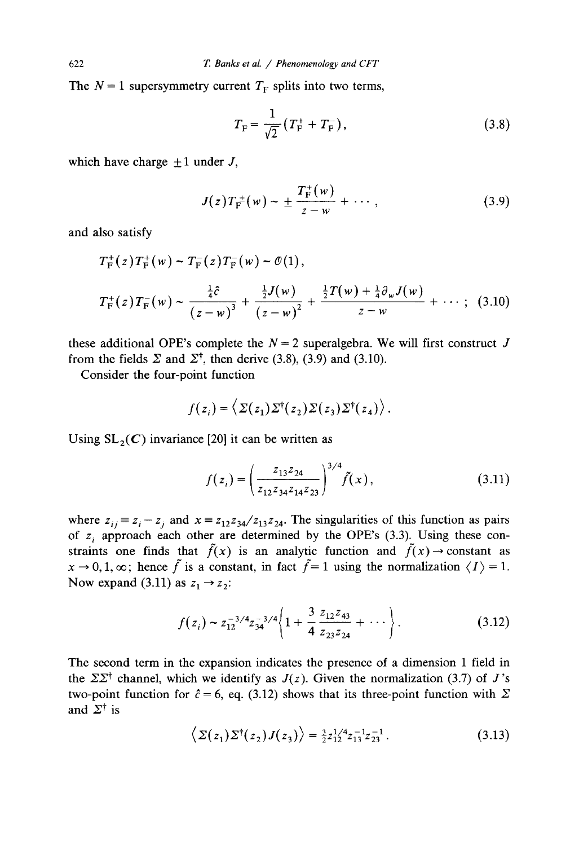The  $N = 1$  supersymmetry current  $T_F$  splits into two terms,

$$
T_{\rm F} = \frac{1}{\sqrt{2}} \left( T_{\rm F}^+ + T_{\rm F}^- \right), \tag{3.8}
$$

which have charge  $\pm 1$  under J,

$$
J(z)T_{\text{F}}^{\pm}(w) \sim \pm \frac{T_{\text{F}}^{\pm}(w)}{z-w} + \cdots, \qquad (3.9)
$$

and also satisfy

$$
T_{\rm F}^+(z)T_{\rm F}^+(w) \sim T_{\rm F}^-(z)T_{\rm F}^-(w) \sim \mathcal{O}(1),
$$
  
\n
$$
T_{\rm F}^+(z)T_{\rm F}^-(w) \sim \frac{\frac{1}{4}\hat{c}}{(z-w)^3} + \frac{\frac{1}{2}J(w)}{(z-w)^2} + \frac{\frac{1}{2}T(w) + \frac{1}{4}\partial_w J(w)}{z-w} + \cdots; \quad (3.10)
$$

these additional OPE's complete the  $N = 2$  superalgebra. We will first construct J from the fields  $\Sigma$  and  $\Sigma^{\dagger}$ , then derive (3.8), (3.9) and (3.10).

Consider the four-point function

$$
f(z_i) = \langle \Sigma(z_1) \Sigma^{\dagger}(z_2) \Sigma(z_3) \Sigma^{\dagger}(z_4) \rangle.
$$

Using  $SL_2(C)$  invariance [20] it can be written as

$$
f(z_i) = \left(\frac{z_{13}z_{24}}{z_{12}z_{34}z_{14}z_{23}}\right)^{3/4} \tilde{f}(x), \tag{3.11}
$$

where  $z_{ij} = z_i - z_j$  and  $x = z_{12}z_{34}/z_{13}z_{24}$ . The singularities of this function as pairs of  $z_i$  approach each other are determined by the OPE's (3.3). Using these constraints one finds that  $\tilde{f}(x)$  is an analytic function and  $\tilde{f}(x) \rightarrow$  constant as  $x \to 0, 1, \infty$ ; hence f is a constant, in fact  $\tilde{f} = 1$  using the normalization  $\langle I \rangle = 1$ . Now expand (3.11) as  $z_1 \rightarrow z_2$ :

$$
f(z_i) \sim z_{12}^{-3/4} z_{34}^{-3/4} \left\{ 1 + \frac{3}{4} \frac{z_{12} z_{43}}{z_{23} z_{24}} + \cdots \right\}.
$$
 (3.12)

The second term in the expansion indicates the presence of a dimension 1 field in the  $\Sigma\Sigma^{\dagger}$  channel, which we identify as *J(z)*. Given the normalization (3.7) of *J*'s two-point function for  $\hat{c} = 6$ , eq. (3.12) shows that its three-point function with  $\Sigma$ and  $\Sigma^{\dagger}$  is

$$
\langle \Sigma(z_1) \Sigma^{\dagger}(z_2) J(z_3) \rangle = \frac{3}{2} z_{12}^{1/4} z_{13}^{-1} z_{23}^{-1} . \tag{3.13}
$$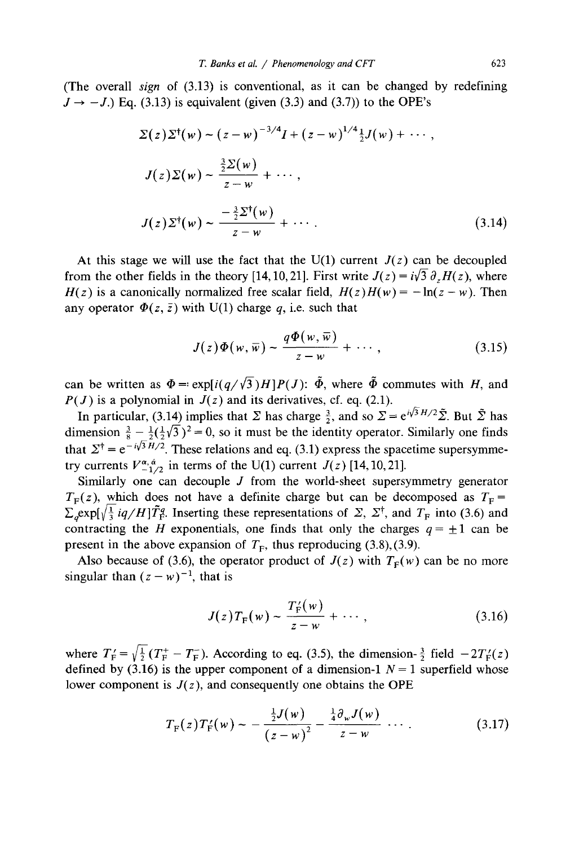(The overall *sign* of (3.13) is conventional, as it can be changed by redefining  $J \rightarrow -J$ .) Eq. (3.13) is equivalent (given (3.3) and (3.7)) to the OPE's

$$
\Sigma(z)\Sigma^{\dagger}(w) \sim (z-w)^{-3/4}I + (z-w)^{1/4}\frac{1}{2}J(w) + \cdots,
$$
  

$$
J(z)\Sigma(w) \sim \frac{\frac{3}{2}\Sigma(w)}{z-w} + \cdots,
$$
  

$$
J(z)\Sigma^{\dagger}(w) \sim \frac{-\frac{3}{2}\Sigma^{\dagger}(w)}{z-w} + \cdots.
$$
 (3.14)

At this stage we will use the fact that the  $U(1)$  current  $J(z)$  can be decoupled from the other fields in the theory [14, 10, 21]. First write  $J(z) = i\sqrt{3} \partial_z H(z)$ , where  $H(z)$  is a canonically normalized free scalar field,  $H(z)H(w) = -\ln(z-w)$ . Then any operator  $\Phi(z, \bar{z})$  with U(1) charge q, i.e. such that

$$
J(z)\Phi(w,\overline{w})\sim \frac{q\Phi(w,\overline{w})}{z-w}+\cdots, \qquad (3.15)
$$

can be written as  $\Phi = \exp[i(q/\sqrt{3})H]P(J)$ :  $\tilde{\Phi}$ , where  $\tilde{\Phi}$  commutes with H, and  $P(J)$  is a polynomial in  $J(z)$  and its derivatives, cf. eq. (2.1).

In particular, (3.14) implies that  $\Sigma$  has charge  $\frac{3}{2}$ , and so  $\Sigma = e^{i\sqrt{3}H/2}\tilde{\Sigma}$ . But  $\tilde{\Sigma}$  has dimension  $\frac{3}{8} - \frac{1}{2}(\frac{1}{2}\sqrt{3})^2 = 0$ , so it must be the identity operator. Similarly one finds that  $\Sigma^{\dagger} = e^{-i\sqrt{3}H/2}$ . These relations and eq. (3.1) express the spacetime supersymmetry currents  $V_{-1/2}^{\alpha, \dot{\alpha}}$  in terms of the U(1) current  $J(z)$  [14, 10, 21].

Similarly one can decouple  $J$  from the world-sheet supersymmetry generator  $T_F(z)$ , which does not have a definite charge but can be decomposed as  $T_F$  =  $\sum_{g} exp[\sqrt{\frac{1}{3}} i q/H] \tilde{T}_{F}^{g}$ . Inserting these representations of  $\Sigma$ ,  $\Sigma^{\dagger}$ , and  $T_{F}$  into (3.6) and contracting the H exponentials, one finds that only the charges  $q = \pm 1$  can be present in the above expansion of  $T_F$ , thus reproducing (3.8), (3.9).

Also because of (3.6), the operator product of  $J(z)$  with  $T_F(w)$  can be no more singular than  $(z - w)^{-1}$ , that is

$$
J(z)T_{\rm F}(w) \sim \frac{T'_{\rm F}(w)}{z-w} + \cdots, \qquad (3.16)
$$

where  $T'_{\text{F}} = \sqrt{\frac{1}{2}} (T^+_{\text{F}} - T^-_{\text{F}})$ . According to eq. (3.5), the dimension- $\frac{3}{2}$  field  $-2T'_{\text{F}}(z)$ defined by (3.16) is the upper component of a dimension-1  $N = 1$  superfield whose lower component is  $J(z)$ , and consequently one obtains the OPE

$$
T_{\rm F}(z)T_{\rm F}'(w) \sim -\frac{\frac{1}{2}J(w)}{(z-w)^2} - \frac{\frac{1}{4}\partial_w J(w)}{z-w} \cdots \qquad (3.17)
$$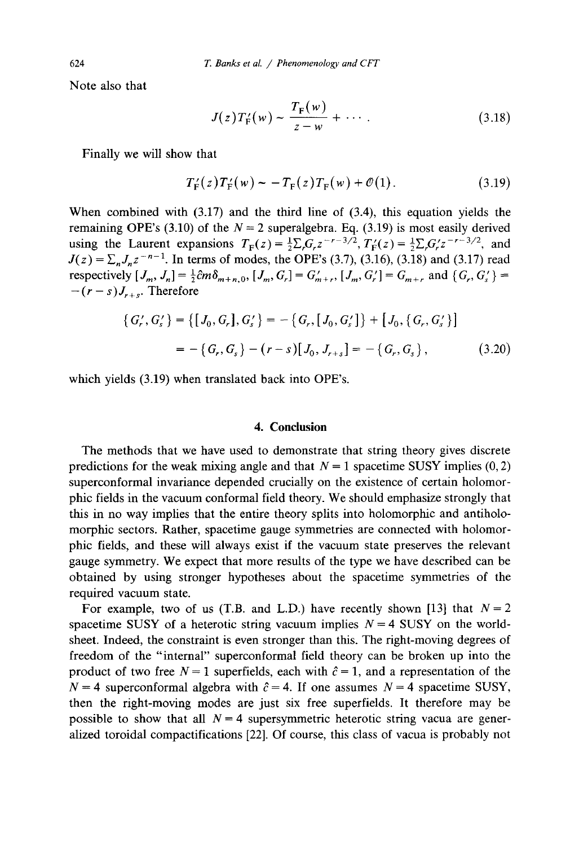Note also that

$$
J(z)T'_{F}(w) \sim \frac{T_{F}(w)}{z-w} + \cdots
$$
 (3.18)

Finally we will show that

$$
T'_{F}(z)T'_{F}(w) \sim -T_{F}(z)T_{F}(w) + \mathcal{O}(1). \qquad (3.19)
$$

When combined with (3.17) and the third line of (3.4), this equation yields the remaining OPE's (3.10) of the  $N = 2$  superalgebra. Eq. (3.19) is most easily derived using the Laurent expansions  $T_F(z) = \frac{1}{2} \sum_{r} G_r z^{-r-3/2}$ ,  $T'_F(z) = \frac{1}{2} \sum_{r} G'_r z^{-r-3/2}$ , and  $J(z) = \sum_{n} J_n z^{-n-1}$ . In terms of modes, the OPE's (3.7), (3.16), (3.18) and (3.17) read respectively  $[J_m, J_n] = \frac{1}{2}\hat{c}m\delta_{m+n,0}, [J_m, G_r] = G'_{m+r}, [J_m, G_r'] = G_{m+r}$  and  $\{G_r, G_s'\}$  $-(r - s)J_{r+s}$ . Therefore

$$
\{G'_r, G'_s\} = \{ [J_0, G_r], G'_s \} = -\{G_r, [J_0, G'_s] \} + [J_0, \{G_r, G'_s \}]
$$
  
= 
$$
- \{G_r, G_s\} - (r - s)[J_0, J_{r+s}] = -\{G_r, G_s\},
$$
 (3.20)

which yields (3.19) when translated back into OPE's.

#### **4. Conclusion**

The methods that we have used to demonstrate that string theory gives discrete predictions for the weak mixing angle and that  $N = 1$  spacetime SUSY implies (0, 2) superconformal invariance depended crucially on the existence of certain holomorphic fields in the vacuum conformal field theory. We should emphasize strongly that this in no way implies that the entire theory splits into holomorphic and antiholomorphic sectors. Rather, spacetime gauge symmetries are connected with holomorphic fields, and these will always exist if the vacuum state preserves the relevant gauge symmetry. We expect that more results of the type we have described can be obtained by using stronger hypotheses about the spacetime symmetries of the required vacuum state.

For example, two of us (T.B. and L.D.) have recently shown [13] that  $N = 2$ spacetime SUSY of a heterotic string vacuum implies  $N = 4$  SUSY on the worldsheet. Indeed, the constraint is even stronger than this. The right-moving degrees of freedom of the "internal" superconformal field theory can be broken up into the product of two free  $N = 1$  superfields, each with  $\hat{c} = 1$ , and a representation of the  $N = 4$  superconformal algebra with  $\hat{c} = 4$ . If one assumes  $N = 4$  spacetime SUSY, then the right-moving modes are just six free superfields. It therefore may be possible to show that all  $N = 4$  supersymmetric heterotic string vacua are generalized toroidal compactifications [22]. Of course, this class of vacua is probably not

624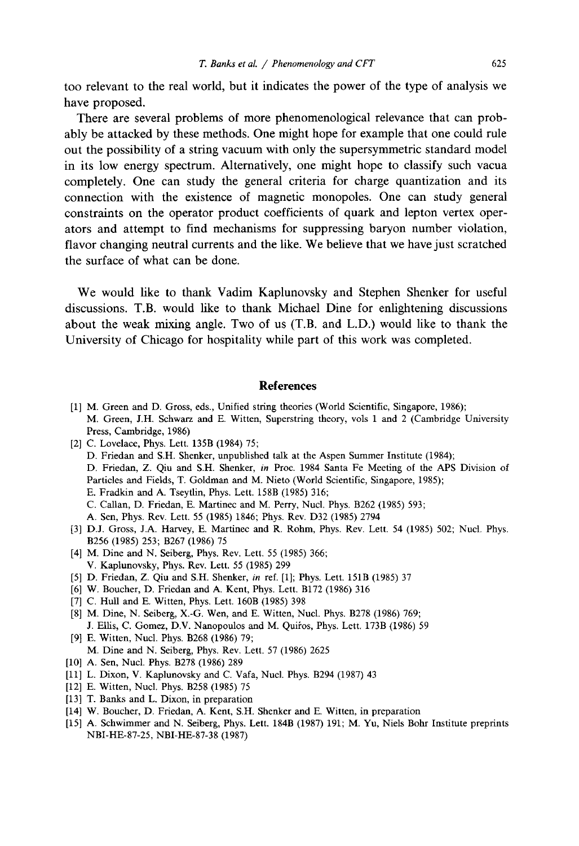too relevant to the real world, but it indicates the power of the type of analysis we have proposed.

There are several problems of more phenomenological relevance that can probably be attacked by these methods. One might hope for example that one could rule out the possibility of a string vacuum with only the supersymmetric standard model in its low energy spectrum. Alternatively, one might hope to classify such vacua completely. One can study the general criteria for charge quantization and its connection with the existence of magnetic monopoles. One can study general constraints on the operator product coefficients of quark and lepton vertex operators and attempt to find mechanisms for suppressing baryon number violation, flavor changing neutral currents and the like. We believe that we have just scratched the surface of what can be done.

We would like to thank Vadim Kaplunovsky and Stephen Shenker for useful discussions. T.B. would like to thank Michael Dine for enlightening discussions about the weak mixing angle. Two of us (T.B. and L.D.) would like to thank the University of Chicago for hospitality while part of this work was completed.

#### **References**

- [2] C. Lovelace, Phys. Lett. 135B (1984) 75; D. Friedan and S.H. Shenker, unpublished talk at the Aspen Summer Institute (1984); D. Friedan, Z. Qiu and S.H. Shenker, *in* Proc. 1984 Santa Fe Meeting of the APS Division of Particles and Fields, T. Goldman and M. Nieto (World Scientific, Singapore, 1985); E. Fradkin and A. Tseytlin, Phys. Lett. 158B (1985) 316; C. Callan, D. Friedan, E. Martinec and M. Perry, Nucl. Phys. B262 (1985) 593; A. Sen, Phys. Rev. Lett. 55 (1985) 1846; Phys. Rev. D32 (1985) 2794 [3] D.J. Gross, J.A. Harvey, E. Martinec and R. Rohm, Phys. Rev. Lett. 54 (1985) 502; Nucl. Phys. B256 (1985) 253; B267 (1986) 75
- [4] M. Dine and N. Seiberg, Phys. Rev. Lett. 55 (1985) 366; V. Kaplunovsky, Phys. Rev. Lett. 55 (1985) 299
- [5] D. Friedan, Z. Qiu and S.H. Shenker, *in* ref. [1]; Phys. Lett. 151B (1985) 37
- [6] W. Boucher, D. Friedan and A. Kent, Phys. Lett. B172 (1986) 316
- [7] C. Hull and E. Witten, Phys. Lett. 160B (1985) 398
- [8] M. Dine, N. Seiberg, X.-G. Wen, and E. Witten, Nucl. Phys. B278 (1986) 769; J. Ellis, C. Gomez, D.V. Nanopoulos and M. Quifos, Phys. Lett. 173B (1986) 59
- [9] E. Witten, Nucl. Phys. B268 (1986) 79; M. Dine and N. Seiberg, Phys. Rev. Lett. 57 (1986) 2625
- [10] A. Sen, Nucl. Phys. B278 (1986) 289
- [11] L. Dixon, V. Kaplunovsky and C. Vafa, Nucl. Phys. B294 (1987) 43
- [12] E. Witten, Nucl. Phys. B258 (1985) 75
- [13] T. Banks and L. Dixon, in preparation
- [14] W. Boucher, D. Friedan, A. Kent, S.H. Shenker and E. Witten, in preparation
- [15] A. Schwimmer and N. Seiberg, Phys. Lett. 184B (1987) 191; M. Yu, Niels Bohr Institute preprints NBI-HE-87-25, NBI-HE-87-38 (1987)

<sup>[1]</sup> M. Green and D. Gross, eds., Unified string theories (World Scientific, Singapore, 1986); M. Green, J.H. Schwarz and E. Witten, Superstring theory, vols 1 and 2 (Cambridge University Press, Cambridge, 1986)